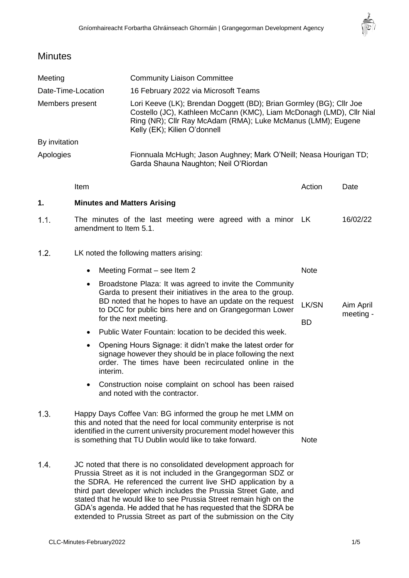$\frac{1}{\sqrt{\frac{1}{10}}}\left( \frac{1}{\sqrt{\frac{1}{10}}}\right) ^{\frac{1}{10}}\left( \frac{1}{\sqrt{\frac{1}{10}}}\right) ^{\frac{1}{10}}\left( \frac{1}{\sqrt{\frac{1}{10}}}\right) ^{\frac{1}{10}}\left( \frac{1}{\sqrt{\frac{1}{10}}}\right) ^{\frac{1}{10}}\left( \frac{1}{\sqrt{\frac{1}{10}}}\right) ^{\frac{1}{10}}\left( \frac{1}{\sqrt{\frac{1}{10}}}\right) ^{\frac{1}{10}}\left( \frac{1}{\sqrt{\frac{1}{10}}}\right) ^{\frac{$ 

# **Minutes**

| Meeting            |                                                                                                                                                                                                                                                                                                                                               | <b>Community Liaison Committee</b>                                                                                                                                                                                                                                                |                    |                        |
|--------------------|-----------------------------------------------------------------------------------------------------------------------------------------------------------------------------------------------------------------------------------------------------------------------------------------------------------------------------------------------|-----------------------------------------------------------------------------------------------------------------------------------------------------------------------------------------------------------------------------------------------------------------------------------|--------------------|------------------------|
| Date-Time-Location |                                                                                                                                                                                                                                                                                                                                               | 16 February 2022 via Microsoft Teams                                                                                                                                                                                                                                              |                    |                        |
| Members present    |                                                                                                                                                                                                                                                                                                                                               | Lori Keeve (LK); Brendan Doggett (BD); Brian Gormley (BG); Cllr Joe<br>Costello (JC), Kathleen McCann (KMC), Liam McDonagh (LMD), Cllr Nial<br>Ring (NR); Cllr Ray McAdam (RMA); Luke McManus (LMM); Eugene<br>Kelly (EK); Kilien O'donnell                                       |                    |                        |
| By invitation      |                                                                                                                                                                                                                                                                                                                                               |                                                                                                                                                                                                                                                                                   |                    |                        |
| Apologies          |                                                                                                                                                                                                                                                                                                                                               | Fionnuala McHugh; Jason Aughney; Mark O'Neill; Neasa Hourigan TD;<br>Garda Shauna Naughton; Neil O'Riordan                                                                                                                                                                        |                    |                        |
|                    | Item                                                                                                                                                                                                                                                                                                                                          |                                                                                                                                                                                                                                                                                   | Action             | Date                   |
| 1.                 | <b>Minutes and Matters Arising</b>                                                                                                                                                                                                                                                                                                            |                                                                                                                                                                                                                                                                                   |                    |                        |
| 1.1.               | The minutes of the last meeting were agreed with a minor LK<br>amendment to Item 5.1.                                                                                                                                                                                                                                                         |                                                                                                                                                                                                                                                                                   | 16/02/22           |                        |
| 1.2.               | LK noted the following matters arising:                                                                                                                                                                                                                                                                                                       |                                                                                                                                                                                                                                                                                   |                    |                        |
|                    | Meeting Format – see Item 2<br>$\bullet$                                                                                                                                                                                                                                                                                                      |                                                                                                                                                                                                                                                                                   | <b>Note</b>        |                        |
|                    | Broadstone Plaza: It was agreed to invite the Community<br>٠<br>Garda to present their initiatives in the area to the group.<br>BD noted that he hopes to have an update on the request<br>to DCC for public bins here and on Grangegorman Lower<br>for the next meeting.                                                                     |                                                                                                                                                                                                                                                                                   | LK/SN<br><b>BD</b> | Aim April<br>meeting - |
|                    | Public Water Fountain: location to be decided this week.<br>$\bullet$<br>Opening Hours Signage: it didn't make the latest order for<br>$\bullet$<br>signage however they should be in place following the next<br>order. The times have been recirculated online in the<br>interim.                                                           |                                                                                                                                                                                                                                                                                   |                    |                        |
|                    |                                                                                                                                                                                                                                                                                                                                               |                                                                                                                                                                                                                                                                                   |                    |                        |
|                    | 1.3.                                                                                                                                                                                                                                                                                                                                          | Happy Days Coffee Van: BG informed the group he met LMM on<br>this and noted that the need for local community enterprise is not<br>identified in the current university procurement model however this<br>is something that TU Dublin would like to take forward.<br><b>Note</b> |                    |                        |
| 1.4.               | JC noted that there is no consolidated development approach for<br>Prussia Street as it is not included in the Grangegorman SDZ or<br>the SDRA. He referenced the current live SHD application by a<br>third part developer which includes the Prussia Street Gate, and<br>stated that he would like to see Prussia Street remain high on the |                                                                                                                                                                                                                                                                                   |                    |                        |

GDA's agenda. He added that he has requested that the SDRA be extended to Prussia Street as part of the submission on the City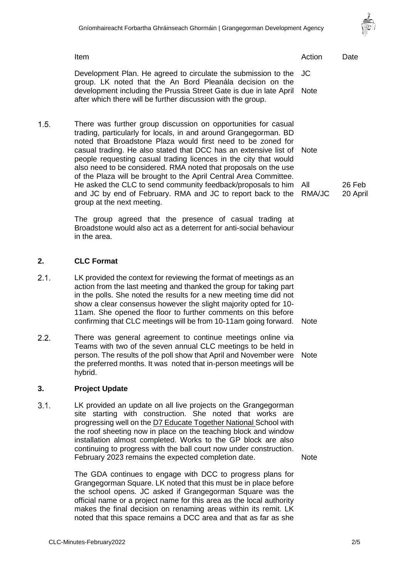

Item and the contract of the contract of the contract of the contract of the contract of the Date Development Plan. He agreed to circulate the submission to the JC group. LK noted that the An Bord Pleanála decision on the development including the Prussia Street Gate is due in late April **Note** after which there will be further discussion with the group.  $1.5.$ There was further group discussion on opportunities for casual trading, particularly for locals, in and around Grangegorman. BD noted that Broadstone Plaza would first need to be zoned for casual trading. He also stated that DCC has an extensive list of **Note** people requesting casual trading licences in the city that would also need to be considered. RMA noted that proposals on the use of the Plaza will be brought to the April Central Area Committee. He asked the CLC to send community feedback/proposals to him All and JC by end of February. RMA and JC to report back to the RMA/JC group at the next meeting.

> The group agreed that the presence of casual trading at Broadstone would also act as a deterrent for anti-social behaviour in the area.

# **2. CLC Format**

- $2.1.$ LK provided the context for reviewing the format of meetings as an action from the last meeting and thanked the group for taking part in the polls. She noted the results for a new meeting time did not show a clear consensus however the slight majority opted for 10- 11am. She opened the floor to further comments on this before confirming that CLC meetings will be from 10-11am going forward. Note
- $2.2.$ There was general agreement to continue meetings online via Teams with two of the seven annual CLC meetings to be held in person. The results of the poll show that April and November were the preferred months. It was noted that in-person meetings will be hybrid.

#### **3. Project Update**

 $3.1.$ LK provided an update on all live projects on the Grangegorman site starting with construction. She noted that works are progressing well on the D7 Educate Together National School with the roof sheeting now in place on the teaching block and window installation almost completed. Works to the GP block are also continuing to progress with the ball court now under construction. February 2023 remains the expected completion date.

> The GDA continues to engage with DCC to progress plans for Grangegorman Square. LK noted that this must be in place before the school opens. JC asked if Grangegorman Square was the official name or a project name for this area as the local authority makes the final decision on renaming areas within its remit. LK noted that this space remains a DCC area and that as far as she

26 Feb 20 April

**Note** 

**Note**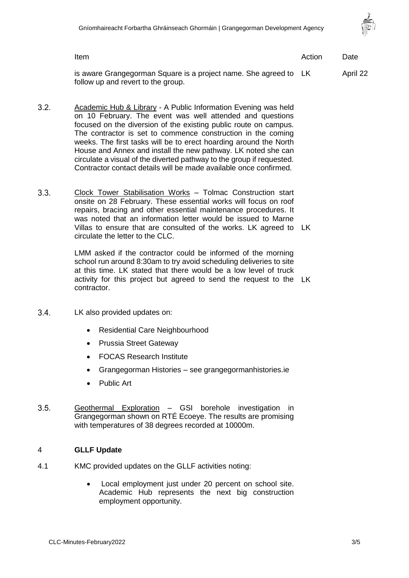

Item and the contract of the contract of the contract of the contract of the contract of the Date is aware Grangegorman Square is a project name. She agreed to April 22

 $3.2.$ Academic Hub & Library - A Public Information Evening was held on 10 February. The event was well attended and questions focused on the diversion of the existing public route on campus. The contractor is set to commence construction in the coming weeks. The first tasks will be to erect hoarding around the North House and Annex and install the new pathway. LK noted she can circulate a visual of the diverted pathway to the group if requested. Contractor contact details will be made available once confirmed.

follow up and revert to the group.

 $3.3.$ Clock Tower Stabilisation Works – Tolmac Construction start onsite on 28 February. These essential works will focus on roof repairs, bracing and other essential maintenance procedures. It was noted that an information letter would be issued to Marne Villas to ensure that are consulted of the works. LK agreed to LK circulate the letter to the CLC.

> LMM asked if the contractor could be informed of the morning school run around 8:30am to try avoid scheduling deliveries to site at this time. LK stated that there would be a low level of truck activity for this project but agreed to send the request to the LK contractor.

- $3.4.$ LK also provided updates on:
	- Residential Care Neighbourhood
	- Prussia Street Gateway
	- FOCAS Research Institute
	- Grangegorman Histories see grangegormanhistories.ie
	- Public Art
- $3.5.$ Geothermal Exploration – GSI borehole investigation in Grangegorman shown on RTÉ Ecoeye. The results are promising with temperatures of 38 degrees recorded at 10000m.

## 4 **GLLF Update**

- 4.1 KMC provided updates on the GLLF activities noting:
	- Local employment just under 20 percent on school site. Academic Hub represents the next big construction employment opportunity.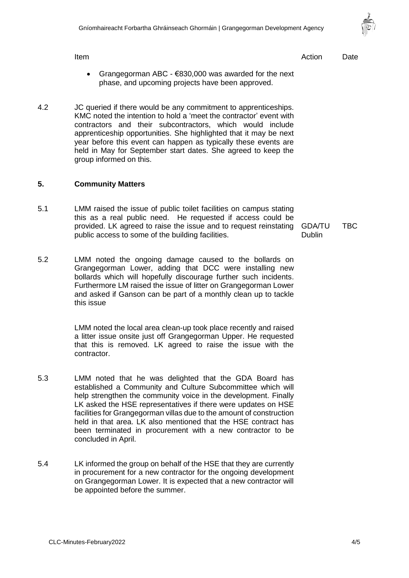- Grangegorman ABC  $€830,000$  was awarded for the next phase, and upcoming projects have been approved.
- 4.2 JC queried if there would be any commitment to apprenticeships. KMC noted the intention to hold a 'meet the contractor' event with contractors and their subcontractors, which would include apprenticeship opportunities. She highlighted that it may be next year before this event can happen as typically these events are held in May for September start dates. She agreed to keep the group informed on this.

#### **5. Community Matters**

- 5.1 LMM raised the issue of public toilet facilities on campus stating this as a real public need. He requested if access could be provided. LK agreed to raise the issue and to request reinstating public access to some of the building facilities.
- 5.2 LMM noted the ongoing damage caused to the bollards on Grangegorman Lower, adding that DCC were installing new bollards which will hopefully discourage further such incidents. Furthermore LM raised the issue of litter on Grangegorman Lower and asked if Ganson can be part of a monthly clean up to tackle this issue

LMM noted the local area clean-up took place recently and raised a litter issue onsite just off Grangegorman Upper. He requested that this is removed. LK agreed to raise the issue with the contractor.

- 5.3 LMM noted that he was delighted that the GDA Board has established a Community and Culture Subcommittee which will help strengthen the community voice in the development. Finally LK asked the HSE representatives if there were updates on HSE facilities for Grangegorman villas due to the amount of construction held in that area. LK also mentioned that the HSE contract has been terminated in procurement with a new contractor to be concluded in April.
- 5.4 LK informed the group on behalf of the HSE that they are currently in procurement for a new contractor for the ongoing development on Grangegorman Lower. It is expected that a new contractor will be appointed before the summer.

Item and the contract of the contract of the contract of the contract of the contract of the Date

GDA/TU **Dublin** TBC